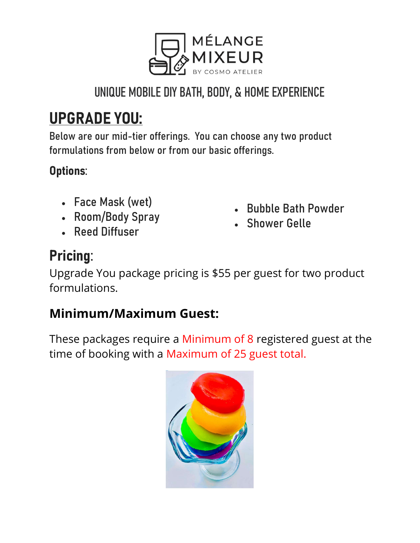

### UNIQUE MOBILE DIY BATH, BODY, & HOME EXPERIENCE

# UPGRADE YOU:

Below are our mid-tier offerings. You can choose any two product formulations from below or from our basic offerings.

#### Options:

- Face Mask (wet)
- Room/Body Spray
- Reed Diffuser
- Bubble Bath Powder
- Shower Gelle

### Pricing:

Upgrade You package pricing is \$55 per guest for two product formulations.

#### Minimum/Maximum Guest:

These packages require a Minimum of 8 registered guest at the time of booking with a Maximum of 25 guest total.